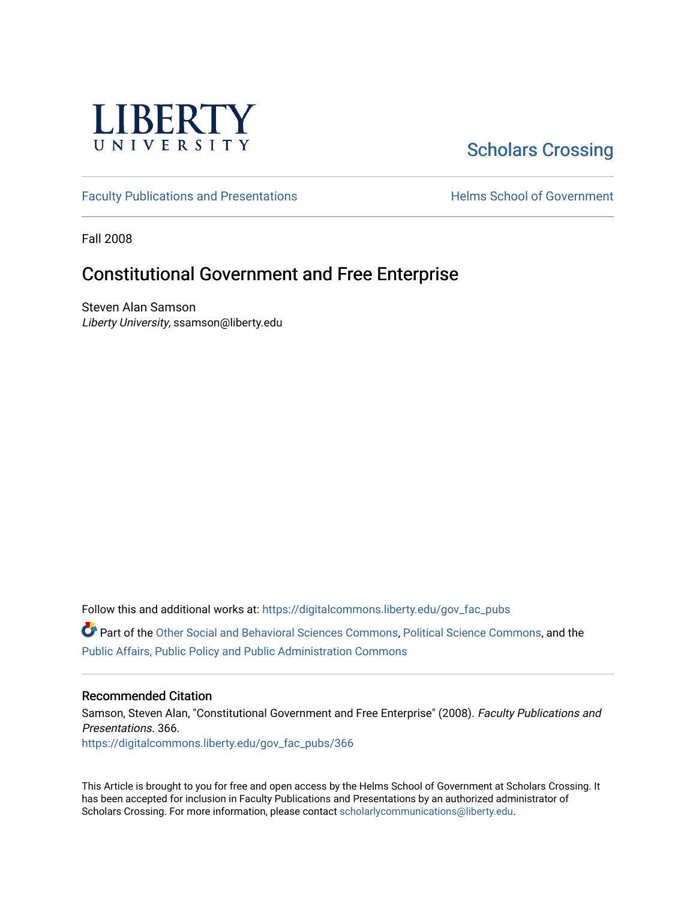

# [Scholars Crossing](https://digitalcommons.liberty.edu/)

[Faculty Publications and Presentations](https://digitalcommons.liberty.edu/gov_fac_pubs) **Exercise School of Government** 

Fall 2008

## Constitutional Government and Free Enterprise

Steven Alan Samson Liberty University, ssamson@liberty.edu

Follow this and additional works at: [https://digitalcommons.liberty.edu/gov\\_fac\\_pubs](https://digitalcommons.liberty.edu/gov_fac_pubs?utm_source=digitalcommons.liberty.edu%2Fgov_fac_pubs%2F366&utm_medium=PDF&utm_campaign=PDFCoverPages)

Part of the [Other Social and Behavioral Sciences Commons](http://network.bepress.com/hgg/discipline/437?utm_source=digitalcommons.liberty.edu%2Fgov_fac_pubs%2F366&utm_medium=PDF&utm_campaign=PDFCoverPages), [Political Science Commons](http://network.bepress.com/hgg/discipline/386?utm_source=digitalcommons.liberty.edu%2Fgov_fac_pubs%2F366&utm_medium=PDF&utm_campaign=PDFCoverPages), and the [Public Affairs, Public Policy and Public Administration Commons](http://network.bepress.com/hgg/discipline/393?utm_source=digitalcommons.liberty.edu%2Fgov_fac_pubs%2F366&utm_medium=PDF&utm_campaign=PDFCoverPages)

#### Recommended Citation

Samson, Steven Alan, "Constitutional Government and Free Enterprise" (2008). Faculty Publications and Presentations. 366. [https://digitalcommons.liberty.edu/gov\\_fac\\_pubs/366](https://digitalcommons.liberty.edu/gov_fac_pubs/366?utm_source=digitalcommons.liberty.edu%2Fgov_fac_pubs%2F366&utm_medium=PDF&utm_campaign=PDFCoverPages)

This Article is brought to you for free and open access by the Helms School of Government at Scholars Crossing. It has been accepted for inclusion in Faculty Publications and Presentations by an authorized administrator of Scholars Crossing. For more information, please contact [scholarlycommunications@liberty.edu.](mailto:scholarlycommunications@liberty.edu)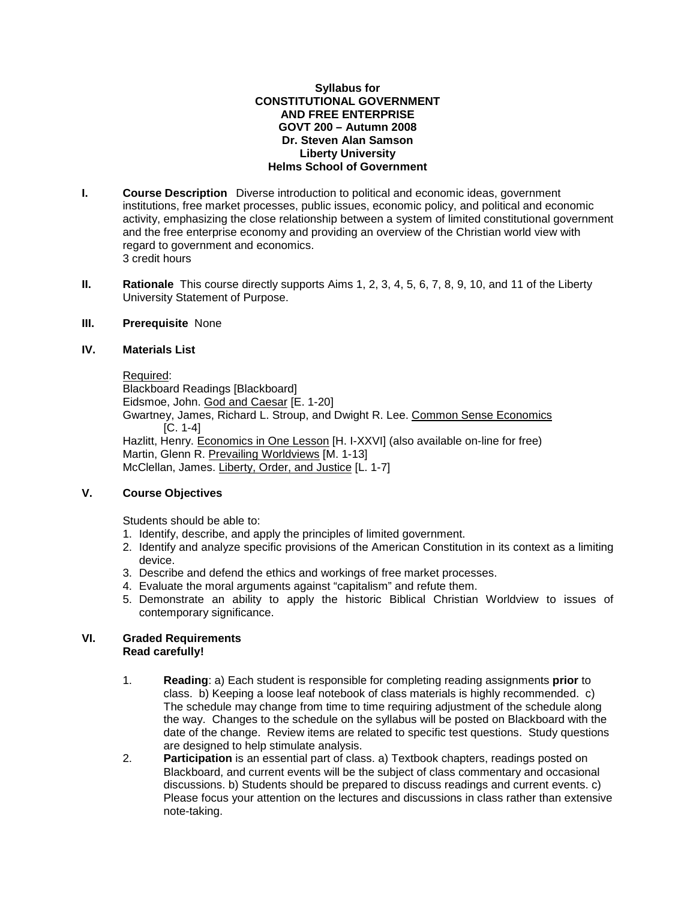#### **Syllabus for CONSTITUTIONAL GOVERNMENT AND FREE ENTERPRISE GOVT 200 – Autumn 2008 Dr. Steven Alan Samson Liberty University Helms School of Government**

- **I. Course Description** Diverse introduction to political and economic ideas, government institutions, free market processes, public issues, economic policy, and political and economic activity, emphasizing the close relationship between a system of limited constitutional government and the free enterprise economy and providing an overview of the Christian world view with regard to government and economics. 3 credit hours
- **II. Rationale** This course directly supports Aims 1, 2, 3, 4, 5, 6, 7, 8, 9, 10, and 11 of the Liberty University Statement of Purpose.

#### **III. Prerequisite** None

#### **IV. Materials List**

Required: Blackboard Readings [Blackboard] Eidsmoe, John. God and Caesar [E. 1-20] Gwartney, James, Richard L. Stroup, and Dwight R. Lee. Common Sense Economics [C. 1-4] Hazlitt, Henry. Economics in One Lesson [H. I-XXVI] (also available on-line for free) Martin, Glenn R. Prevailing Worldviews [M. 1-13] McClellan, James. Liberty, Order, and Justice [L. 1-7]

#### **V. Course Objectives**

Students should be able to:

- 1. Identify, describe, and apply the principles of limited government.
- 2. Identify and analyze specific provisions of the American Constitution in its context as a limiting device.
- 3. Describe and defend the ethics and workings of free market processes.
- 4. Evaluate the moral arguments against "capitalism" and refute them.
- 5. Demonstrate an ability to apply the historic Biblical Christian Worldview to issues of contemporary significance.

#### **VI. Graded Requirements Read carefully!**

- 1. **Reading**: a) Each student is responsible for completing reading assignments **prior** to class. b) Keeping a loose leaf notebook of class materials is highly recommended. c) The schedule may change from time to time requiring adjustment of the schedule along the way. Changes to the schedule on the syllabus will be posted on Blackboard with the date of the change. Review items are related to specific test questions. Study questions are designed to help stimulate analysis.
- 2. **Participation** is an essential part of class. a) Textbook chapters, readings posted on Blackboard, and current events will be the subject of class commentary and occasional discussions. b) Students should be prepared to discuss readings and current events. c) Please focus your attention on the lectures and discussions in class rather than extensive note-taking.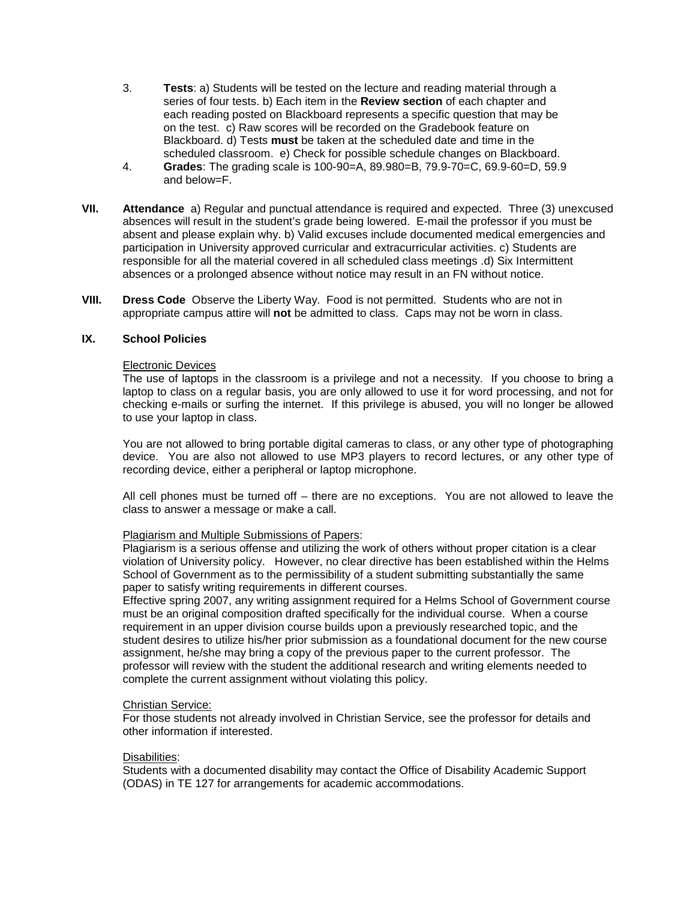- 3. **Tests**: a) Students will be tested on the lecture and reading material through a series of four tests. b) Each item in the **Review section** of each chapter and each reading posted on Blackboard represents a specific question that may be on the test. c) Raw scores will be recorded on the Gradebook feature on Blackboard. d) Tests **must** be taken at the scheduled date and time in the scheduled classroom. e) Check for possible schedule changes on Blackboard.
- 4. **Grades**: The grading scale is 100-90=A, 89.980=B, 79.9-70=C, 69.9-60=D, 59.9 and below=F.
- **VII. Attendance** a) Regular and punctual attendance is required and expected. Three (3) unexcused absences will result in the student's grade being lowered. E-mail the professor if you must be absent and please explain why. b) Valid excuses include documented medical emergencies and participation in University approved curricular and extracurricular activities. c) Students are responsible for all the material covered in all scheduled class meetings .d) Six Intermittent absences or a prolonged absence without notice may result in an FN without notice.
- **VIII. Dress Code** Observe the Liberty Way. Food is not permitted. Students who are not in appropriate campus attire will **not** be admitted to class. Caps may not be worn in class.

#### **IX. School Policies**

#### Electronic Devices

The use of laptops in the classroom is a privilege and not a necessity. If you choose to bring a laptop to class on a regular basis, you are only allowed to use it for word processing, and not for checking e-mails or surfing the internet. If this privilege is abused, you will no longer be allowed to use your laptop in class.

You are not allowed to bring portable digital cameras to class, or any other type of photographing device. You are also not allowed to use MP3 players to record lectures, or any other type of recording device, either a peripheral or laptop microphone.

All cell phones must be turned off – there are no exceptions. You are not allowed to leave the class to answer a message or make a call.

#### Plagiarism and Multiple Submissions of Papers:

Plagiarism is a serious offense and utilizing the work of others without proper citation is a clear violation of University policy. However, no clear directive has been established within the Helms School of Government as to the permissibility of a student submitting substantially the same paper to satisfy writing requirements in different courses.

Effective spring 2007, any writing assignment required for a Helms School of Government course must be an original composition drafted specifically for the individual course. When a course requirement in an upper division course builds upon a previously researched topic, and the student desires to utilize his/her prior submission as a foundational document for the new course assignment, he/she may bring a copy of the previous paper to the current professor. The professor will review with the student the additional research and writing elements needed to complete the current assignment without violating this policy.

#### Christian Service:

For those students not already involved in Christian Service, see the professor for details and other information if interested.

#### Disabilities:

Students with a documented disability may contact the Office of Disability Academic Support (ODAS) in TE 127 for arrangements for academic accommodations.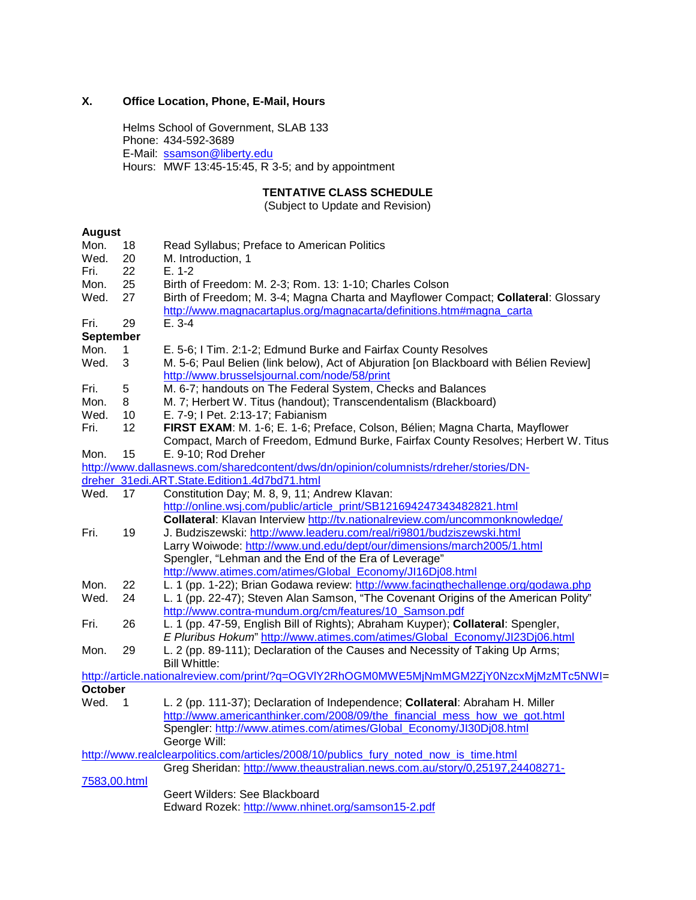## **X. Office Location, Phone, E-Mail, Hours**

Helms School of Government, SLAB 133 Phone: 434-592-3689 E-Mail: [ssamson@liberty.edu](mailto:ssamson@liberty.edu) Hours: MWF 13:45-15:45, R 3-5; and by appointment

## **TENTATIVE CLASS SCHEDULE**

(Subject to Update and Revision)

### **August**

| Mon.             | 18          | Read Syllabus; Preface to American Politics                                             |  |  |
|------------------|-------------|-----------------------------------------------------------------------------------------|--|--|
| Wed.             | 20          | M. Introduction, 1                                                                      |  |  |
| Fri.             | 22          | $E. 1-2$                                                                                |  |  |
| Mon.             | 25          | Birth of Freedom: M. 2-3; Rom. 13: 1-10; Charles Colson                                 |  |  |
| Wed.             | 27          | Birth of Freedom; M. 3-4; Magna Charta and Mayflower Compact; Collateral: Glossary      |  |  |
|                  |             | http://www.magnacartaplus.org/magnacarta/definitions.htm#magna_carta                    |  |  |
| Fri.             | 29          | $E. 3-4$                                                                                |  |  |
| <b>September</b> |             |                                                                                         |  |  |
| Mon.             | 1           | E. 5-6; I Tim. 2:1-2; Edmund Burke and Fairfax County Resolves                          |  |  |
| Wed.             | 3           | M. 5-6; Paul Belien (link below), Act of Abjuration [on Blackboard with Bélien Review]  |  |  |
|                  |             | http://www.brusselsjournal.com/node/58/print                                            |  |  |
| Fri.             | 5           | M. 6-7; handouts on The Federal System, Checks and Balances                             |  |  |
| Mon.             | 8           | M. 7; Herbert W. Titus (handout); Transcendentalism (Blackboard)                        |  |  |
| Wed.             | 10          | E. 7-9; I Pet. 2:13-17; Fabianism                                                       |  |  |
| Fri.             | 12          | FIRST EXAM: M. 1-6; E. 1-6; Preface, Colson, Bélien; Magna Charta, Mayflower            |  |  |
|                  |             | Compact, March of Freedom, Edmund Burke, Fairfax County Resolves; Herbert W. Titus      |  |  |
| Mon.             | 15          | E. 9-10; Rod Dreher                                                                     |  |  |
|                  |             | http://www.dallasnews.com/sharedcontent/dws/dn/opinion/columnists/rdreher/stories/DN-   |  |  |
|                  |             | dreher 31edi.ART.State.Edition1.4d7bd71.html                                            |  |  |
| Wed.             | 17          | Constitution Day; M. 8, 9, 11; Andrew Klavan:                                           |  |  |
|                  |             | http://online.wsj.com/public/article_print/SB121694247343482821.html                    |  |  |
|                  |             | Collateral: Klavan Interview http://tv.nationalreview.com/uncommonknowledge/            |  |  |
| Fri.             | 19          | J. Budziszewski: http://www.leaderu.com/real/ri9801/budziszewski.html                   |  |  |
|                  |             | Larry Woiwode: http://www.und.edu/dept/our/dimensions/march2005/1.html                  |  |  |
|                  |             | Spengler, "Lehman and the End of the Era of Leverage"                                   |  |  |
|                  |             | http://www.atimes.com/atimes/Global_Economy/JI16Dj08.html                               |  |  |
| Mon.             | 22          | L. 1 (pp. 1-22); Brian Godawa review: http://www.facingthechallenge.org/godawa.php      |  |  |
| Wed.             | 24          | L. 1 (pp. 22-47); Steven Alan Samson, "The Covenant Origins of the American Polity"     |  |  |
|                  |             | http://www.contra-mundum.org/cm/features/10_Samson.pdf                                  |  |  |
| Fri.             | 26          | L. 1 (pp. 47-59, English Bill of Rights); Abraham Kuyper); Collateral: Spengler,        |  |  |
|                  |             | E Pluribus Hokum" http://www.atimes.com/atimes/Global_Economy/JI23Dj06.html             |  |  |
| Mon.             | 29          | L. 2 (pp. 89-111); Declaration of the Causes and Necessity of Taking Up Arms;           |  |  |
|                  |             | <b>Bill Whittle:</b>                                                                    |  |  |
|                  |             | http://article.nationalreview.com/print/?q=OGVIY2RhOGM0MWE5MjNmMGM2ZjY0NzcxMjMzMTc5NWI= |  |  |
| <b>October</b>   |             |                                                                                         |  |  |
| Wed.             | $\mathbf 1$ | L. 2 (pp. 111-37); Declaration of Independence; Collateral: Abraham H. Miller           |  |  |
|                  |             | http://www.americanthinker.com/2008/09/the financial mess how we got.html               |  |  |
|                  |             | Spengler: http://www.atimes.com/atimes/Global_Economy/JI30Dj08.html                     |  |  |
|                  |             | George Will:                                                                            |  |  |
|                  |             | http://www.realclearpolitics.com/articles/2008/10/publics_fury_noted_now_is_time.html   |  |  |
|                  |             | Greg Sheridan: http://www.theaustralian.news.com.au/story/0,25197,24408271-             |  |  |
| 7583,00.html     |             |                                                                                         |  |  |
|                  |             | Geert Wilders: See Blackboard                                                           |  |  |
|                  |             | Edward Rozek: http://www.nhinet.org/samson15-2.pdf                                      |  |  |
|                  |             |                                                                                         |  |  |